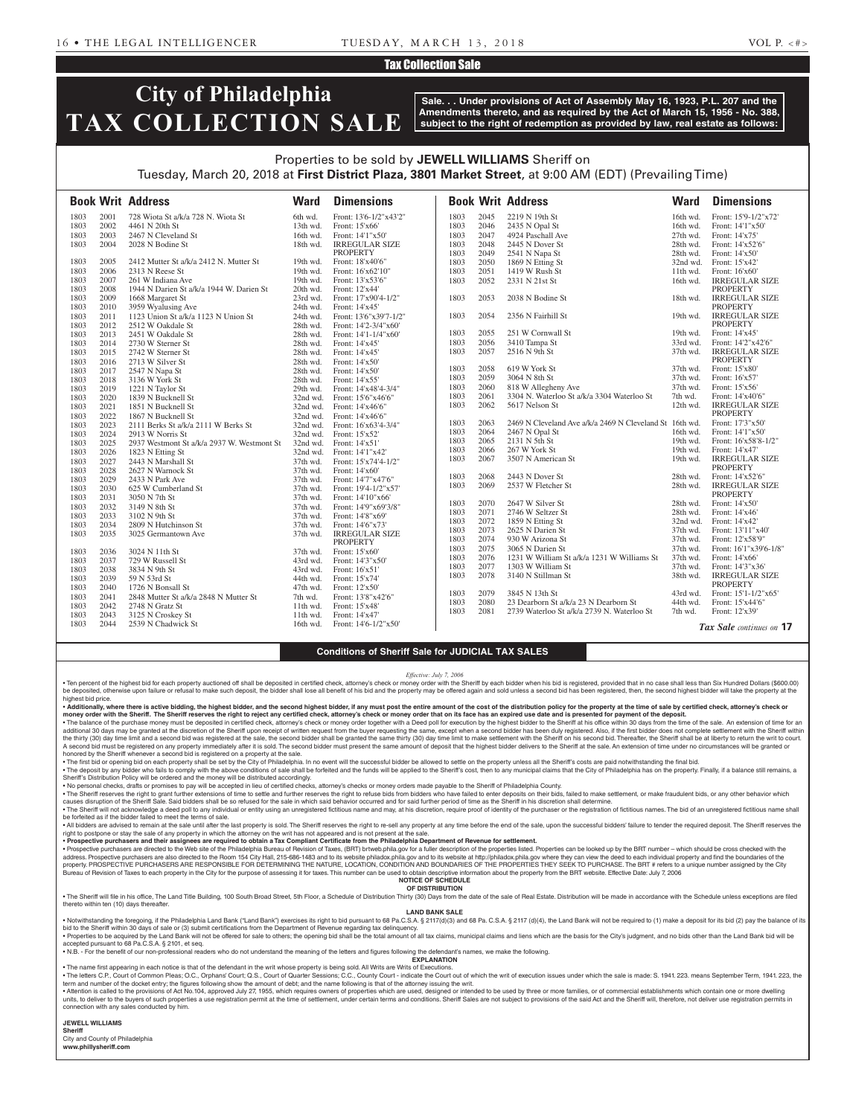### Tax Collection Sale

# **City of Philadelphia TAX COLLECTION SALE**

**Sale. . . Under provisions of Act of Assembly May 16, 1923, P.L. 207 and the Amendments thereto, and as required by the Act of March 15, 1956 - No. 388, subject to the right of redemption as provided by law, real estate as follows:**

## Properties to be sold by **JEWELL WILLIAMS** Sheriff on Tuesday, March 20, 2018 at **First District Plaza, 3801 Market Street**, at 9:00 AM (EDT) (Prevailing Time)

|      |      | <b>Book Writ Address</b>                   | <b>Ward</b> | <b>Dimensions</b>      |      |      | <b>Book Writ Address</b>                                | <b>Ward</b>          | <b>Dimensions</b>                          |
|------|------|--------------------------------------------|-------------|------------------------|------|------|---------------------------------------------------------|----------------------|--------------------------------------------|
| 1803 | 2001 | 728 Wiota St a/k/a 728 N. Wiota St         | 6th wd.     | Front: 13'6-1/2"x43'2" | 1803 | 2045 | 2219 N 19th St                                          | 16th wd.             | Front: 15'9-1/2"x72"                       |
| 1803 | 2002 | 4461 N 20th St                             | $13th$ wd.  | Front: 15'x66'         | 1803 | 2046 | 2435 N Opal St                                          | 16th wd.             | Front: 14'1"x50"                           |
| 1803 | 2003 | 2467 N Cleveland St                        | 16th wd.    | Front: 14'1"x50"       | 1803 | 2047 | 4924 Paschall Ave                                       | 27th wd.             | Front: 14'x75'                             |
| 1803 | 2004 | 2028 N Bodine St                           | 18th wd.    | <b>IRREGULAR SIZE</b>  | 1803 | 2048 | 2445 N Dover St                                         | 28th wd.             | Front: 14'x52'6"                           |
|      |      |                                            |             | <b>PROPERTY</b>        | 1803 | 2049 | 2541 N Napa St                                          | 28th wd.             | Front: 14'x50'                             |
| 1803 | 2005 | 2412 Mutter St a/k/a 2412 N. Mutter St     | 19th wd.    | Front: 18'x40'6"       | 1803 | 2050 | 1869 N Etting St                                        | $32nd$ wd.           | Front: 15'x42'                             |
| 1803 | 2006 | 2313 N Reese St                            | 19th wd.    | Front: 16'x62'10"      | 1803 | 2051 | 1419 W Rush St                                          | $11th$ wd.           | Front: 16'x60'                             |
| 1803 | 2007 | 261 W Indiana Ave                          | 19th wd.    | Front: 13'x53'6"       | 1803 | 2052 | 2331 N 21st St                                          | $16th$ wd.           | <b>IRREGULAR SIZE</b>                      |
| 1803 | 2008 | 1944 N Darien St a/k/a 1944 W. Darien St   | 20th wd.    | Front: 12'x44'         |      |      |                                                         |                      | <b>PROPERTY</b>                            |
| 1803 | 2009 | 1668 Margaret St                           | 23rd wd.    | Front: 17'x90'4-1/2"   | 1803 | 2053 | 2038 N Bodine St                                        | 18th wd.             | <b>IRREGULAR SIZE</b>                      |
| 1803 | 2010 | 3959 Wyalusing Ave                         | 24th wd.    | Front: 14'x45'         |      |      |                                                         |                      | <b>PROPERTY</b>                            |
| 1803 | 2011 | 1123 Union St a/k/a 1123 N Union St        | 24th wd.    | Front: 13'6"x39'7-1/2" | 1803 | 2054 | 2356 N Fairhill St                                      | 19th wd.             | <b>IRREGULAR SIZE</b>                      |
| 1803 | 2012 | 2512 W Oakdale St                          | 28th wd.    | Front: 14'2-3/4"x60"   |      |      |                                                         |                      | <b>PROPERTY</b>                            |
| 1803 | 2013 | 2451 W Oakdale St                          | 28th wd.    | Front: 14'1-1/4"x60"   | 1803 | 2055 | 251 W Cornwall St                                       | 19th wd.             | Front: 14'x45'                             |
| 1803 | 2014 | 2730 W Sterner St                          | 28th wd.    | Front: 14'x45'         | 1803 | 2056 | 3410 Tampa St                                           | 33rd wd.             | Front: 14'2"x42'6"                         |
| 1803 | 2015 | 2742 W Sterner St                          | 28th wd.    | Front: 14'x45'         | 1803 | 2057 | 2516 N 9th St                                           | 37th wd.             | <b>IRREGULAR SIZE</b>                      |
| 1803 | 2016 | 2713 W Silver St                           | 28th wd.    | Front: 14'x50'         |      |      |                                                         |                      | <b>PROPERTY</b>                            |
| 1803 | 2017 | 2547 N Napa St                             | 28th wd.    | Front: 14'x50'         | 1803 | 2058 | 619 W York St                                           | 37th wd.             | Front: 15'x80'                             |
| 1803 | 2018 | 3136 W York St                             | 28th wd.    | Front: 14'x55'         | 1803 | 2059 | 3064 N 8th St                                           | 37th wd.             | Front: 16'x57'                             |
| 1803 | 2019 | 1221 N Taylor St                           | 29th wd.    | Front: 14'x48'4-3/4"   | 1803 | 2060 | 818 W Allegheny Ave                                     | 37th wd.             | Front: 15'x56'                             |
| 1803 | 2020 | 1839 N Bucknell St                         | 32nd wd.    | Front: 15'6"x46'6"     | 1803 | 2061 | 3304 N. Waterloo St a/k/a 3304 Waterloo St              | 7th wd.              | Front: 14'x40'6"                           |
| 1803 | 2021 | 1851 N Bucknell St                         | 32nd wd.    | Front: 14'x46'6'       | 1803 | 2062 | 5617 Nelson St                                          | 12th wd.             | <b>IRREGULAR SIZE</b>                      |
| 1803 | 2022 | 1867 N Bucknell St                         | 32nd wd.    | Front: 14'x46'6'       |      |      |                                                         |                      | <b>PROPERTY</b>                            |
| 1803 | 2023 | 2111 Berks St a/k/a 2111 W Berks St        | 32nd wd.    | Front: 16'x63'4-3/4"   | 1803 | 2063 | 2469 N Cleveland Ave a/k/a 2469 N Cleveland St 16th wd. |                      | Front: 17'3"x50'                           |
| 1803 | 2024 | 2913 W Norris St                           | $32nd$ wd.  | Front: 15'x52'         | 1803 | 2064 | 2467 N Opal St                                          | 16th wd.             | Front: 14'1"x50"                           |
| 1803 | 2025 | 2937 Westmont St a/k/a 2937 W. Westmont St | 32nd wd.    | Front: 14'x51'         | 1803 | 2065 | 2131 N 5th St                                           | $19th$ wd.           | Front: 16'x58'8-1/2"                       |
| 1803 | 2026 | 1823 N Etting St                           | 32nd wd.    | Front: 14'1"x42"       | 1803 | 2066 | 267 W York St                                           | 19th wd.             | Front: 14'x47'                             |
| 1803 | 2027 | 2443 N Marshall St                         | 37th wd.    | Front: 15'x74'4-1/2"   | 1803 | 2067 | 3507 N American St                                      | 19th wd.             | <b>IRREGULAR SIZE</b>                      |
| 1803 | 2028 | 2627 N Warnock St                          | 37th wd.    | Front: 14'x60'         |      |      |                                                         |                      | <b>PROPERTY</b>                            |
| 1803 | 2029 | 2433 N Park Ave                            | 37th wd.    | Front: 14'7"x47'6"     | 1803 | 2068 | 2443 N Dover St                                         | 28th wd.             | Front: 14'x52'6"                           |
| 1803 | 2030 | 625 W Cumberland St                        | 37th wd.    | Front: 19'4-1/2"x57'   | 1803 | 2069 | 2537 W Fletcher St                                      | 28th wd.             | <b>IRREGULAR SIZE</b>                      |
| 1803 | 2031 | 3050 N 7th St                              | 37th wd.    | Front: 14'10"x66'      | 1803 | 2070 | 2647 W Silver St                                        | 28th wd.             | <b>PROPERTY</b><br>Front: $14'x50'$        |
| 1803 | 2032 | 3149 N 8th St                              | 37th wd.    | Front: 14'9"x69'3/8"   | 1803 | 2071 | 2746 W Seltzer St                                       | 28th wd.             | Front: 14'x46'                             |
| 1803 | 2033 | 3102 N 9th St                              | 37th wd.    | Front: 14'8"x69"       | 1803 | 2072 | 1859 N Etting St                                        |                      |                                            |
| 1803 | 2034 | 2809 N Hutchinson St                       | 37th wd.    | Front: 14'6"x73'       | 1803 | 2073 | 2625 N Darien St                                        | 32nd wd.<br>37th wd. | Front: 14'x42'<br>Front: 13'11"x40"        |
| 1803 | 2035 | 3025 Germantown Ave                        | 37th wd.    | <b>IRREGULAR SIZE</b>  | 1803 | 2074 | 930 W Arizona St                                        | 37th wd.             |                                            |
|      |      |                                            |             | <b>PROPERTY</b>        | 1803 | 2075 | 3065 N Darien St                                        | 37th wd.             | Front: 12'x58'9"<br>Front: 16'1"x39'6-1/8" |
| 1803 | 2036 | 3024 N 11th St                             | 37th wd.    | Front: 15'x60'         | 1803 | 2076 | 1231 W William St a/k/a 1231 W Williams St              | 37th wd.             | Front: 14'x66'                             |
| 1803 | 2037 | 729 W Russell St                           | 43rd wd.    | Front: 14'3"x50"       |      | 2077 | 1303 W William St                                       |                      |                                            |
| 1803 | 2038 | 3834 N 9th St                              | 43rd wd.    | Front: 16'x51'         | 1803 | 2078 |                                                         | 37th wd.             | Front: 14'3"x36'                           |
| 1803 | 2039 | 59 N 53rd St                               | 44th wd.    | Front: 15'x74'         | 1803 |      | 3140 N Stillman St                                      | 38th wd.             | <b>IRREGULAR SIZE</b><br><b>PROPERTY</b>   |
| 1803 | 2040 | 1726 N Bonsall St                          | $47th$ wd.  | Front: 12'x50'         | 1803 | 2079 | 3845 N 13th St                                          | 43rd wd.             | Front: 15'1-1/2"x65'                       |
| 1803 | 2041 | 2848 Mutter St a/k/a 2848 N Mutter St      | 7th wd.     | Front: 13'8"x42'6"     | 1803 | 2080 | 23 Dearborn St a/k/a 23 N Dearborn St                   | 44th wd.             | Front: 15'x44'6"                           |
| 1803 | 2042 | 2748 N Gratz St                            | 11th wd.    | Front: 15'x48'         | 1803 | 2081 | 2739 Waterloo St a/k/a 2739 N. Waterloo St              | 7th wd.              | Front: 12'x39'                             |
| 1803 | 2043 | 3125 N Croskey St                          | 11th wd.    | Front: 14'x47'         |      |      |                                                         |                      |                                            |
| 1803 | 2044 | 2539 N Chadwick St                         | 16th wd.    | Front: 14'6-1/2"x50"   |      |      |                                                         |                      | Tax Sale continues on 17                   |

#### **Conditions of Sheriff Sale for JUDICIAL TAX SALES**

*Effective: July 7, 2006*

. Ten percent of the highest bid for each property auctioned off shall be deposited in certified check, attorney's check or money order with the Sheriff by each bidder when his bid is registered, provided that in no case s be deposited, otherwise upon failure or refusal to make such deposit, the bidder shall lose all benefit of his bid and the property may be offered again and sold unless a second bid has been registered, then, the second hi highest bid price.

## • Additionally, where there is active bidding, the highest bidder, and the second highest bidder, if any must post the entire amount of the cost of the distribution policy for the property at the time of sale by certified

money order with the Sheriff. The Sheriff reserves the right to reject any certified check, attorney's check or money order that on its face has an expired use date and is presented for payment of the deposit.<br>• The balanc additional 30 days may be granted at the discretion of the Sheriff upon receipt of written request from the buyer requesting the same, except when a second bidder has been duly registered. Also, if the first bidder does no the thirty (30) day time limit and a second bid was registered at the sale, the second bidder shall be granted the same thirty (30) day time limit to make settlement with the Sheriff on his second bid. Thereafter, the Sher A second bid must be registered on any property immediately after it is sold. The second bidder must present the same amount of deposit that the highest bidder delivers to the Sheriff at the sale. An extension of time unde honored by the Sheriff whenever a second bid is registered on a property at the sale.

. The first bid or opening bid on each property shall be set by the City of Philadelphia. In no event will the successful bidder be allowed to settle on the property unless all the Sheriff's costs are paid notwithstanding . The deposit by any bidder who fails to comply with the above conditions of sale shall be forfeited and the funds will be applied to the Sheriff's cost, then to any municipal claims that the City of Philadelphia has on th Sheriff's Distribution Policy will be ordered and the money will be distributed accordingly.

• No personal checks, drafts or promises to pay will be accepted in lieu of certified checks, attorney's checks or money orders made payable to the Sheriff of Philadelphia County.<br>• The Sheriff reserves the right to grant causes disruption of the Sheriff Sale. Said bidders shall be so refused for the sale in which said behavior occurred and for said further period of time as the Sheriff in his discretion shall determine.

. The Sheriff will not acknowledge a deed poll to any individual or entity using an unregistered fictitious name and may, at his discretion, require proof of identity of the purchaser or the registration of fictitious name be forfeited as if the bidder failed to meet the terms of sale.

. All bidders are advised to remain at the sale until after the last property is sold. The Sheriff reserves the right to re-sell any property at any time before the end of the sale, upon the successful bidders' failure to right to postpone or stay the sale of any property in which the attorney on the writ has not appeared and is not present at the sale.<br>• Prospective purchasers and their assignees are required to obtain a Tax Compliant Cert

Prospective purchasers are directed to the Web site of the Philadelphia Bureau of Revision of Taxes, (BRT) brtweb phila.gov for a fuller description of the properties listed. Properties can be looked up by the BRT number address. Prospective purchasers are also directed to the Room 154 City Hall, 215-686-1483 and to its website philadox.phila.gov and to its website at http://philadox.phila.gov where they can view the deed to each individua property. PROSPECTIVE PURCHASERS ARE RESPONSIBLE FOR DETERMINING THE NATURE, LOCATION, CONDITION AND BOUNDARIES OF THE PROPERTIES THEY SEEK TO PURCHASE. The BRT # refers to a unique number assigned by the City Bureau of Revision of Taxes to each property in the City for the purpose of assessing it for taxes. This number can be used to obtain descriptive information about the property from the BRT website. Effective Date: July 7,

#### **NOTICE OF SCHEDULE OF DISTRIBUTION**

. The Sheriff will file in his office, The Land Title Building, 100 South Broad Street, 5th Floor, a Schedule of Distribution Thirty (30) Days from the date of the sale of Real Estate. Distribution will be made in accordan thereto within ten (10) days thereafter

#### **LAND BANK SALE**

. Notwithstanding the foregoing, if the Philadelphia Land Bank ("Land Bank") exercises its right to bid pursuant to 68 Pa.C.S.A. § 2117(d)(3) and 68 Pa. C.S.A. § 2117 (d)(4), the Land Bank will not be required to (1) make  $s$  from the Department of Revenue regarding tax delinquency

. Properties to be acquired by the Land Bank will not be offered for sale to others; the opening bid shall be the total amount of all tax claims, municipal claims and liens which are the basis for the City's judgment, and accepted pursuant to 68 Pa.C.S.A. § 2101, et seq. • N.B. - For the benefit of our non-professional readers who do not understand the meaning of the letters and figures following the defendant's names, we make the following.

**EXPLANATION** 

• The name first appearing in each notice is that of the defendant in the writ whose property is being sold. All Writs are Writs of Executions.

• The letters C.P., Court of Common Pleas; O.C., Orphans' Court; Q.S., Court of Quarter Sessions; C.C., County Court - indicate the Court out of which the writ of execution issues under which the sale is made: S. 1941. 223

• Attention is called to the provisions of Act No.104, approved July 27, 1955, which requires owners of properties which are used, designed or intended to be used by three or more families, or of commercial establishments connection with any sales conducted by him.

**JEWELL WILLIAMS Sheriff**  City and County of Philadelphia

**www.phillysheriff.com**